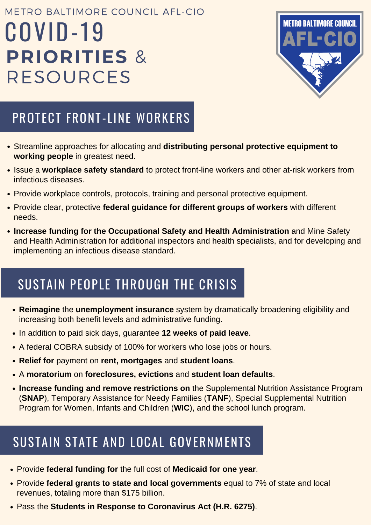### PROTECT FRONT-LINE WORKERS

### SUSTAIN PEOPLE THROUGH THE CRISIS

- Streamline approaches for allocating and **distributing personal protective equipment to working people** in greatest need.
- Issue a workplace safety standard to protect front-line workers and other at-risk workers from infectious diseases.
- Provide workplace controls, protocols, training and personal protective equipment.
- Provide clear, protective **federal guidance for different groups of workers** with different needs.
- **Increase funding for the Occupational Safety and Health Administration** and Mine Safety and Health Administration for additional inspectors and health specialists, and for developing and implementing an infectious disease standard.

### SUSTAIN STATE AND LOCAL GOVERNMENTS

- **Reimagine** the **unemployment insurance** system by dramatically broadening eligibility and increasing both benefit levels and administrative funding.
- In addition to paid sick days, guarantee **12 weeks of paid leave**.
- A federal COBRA subsidy of 100% for workers who lose jobs or hours.
- **Relief for** payment on **rent, mortgages** and **student loans**.
- A **moratorium** on **foreclosures, evictions** and **student loan defaults**.
- **Increase funding and remove restrictions on** the Supplemental Nutrition Assistance Program (**SNAP**), Temporary Assistance for Needy Families (**TANF**), Special Supplemental Nutrition Program for Women, Infants and Children (**WIC**), and the school lunch program.

# COVID-19 **PRIORITIES** & RESOURCES METRO BALTIMORE COUNCIL AFL-CIO



- Provide **federal funding for** the full cost of **Medicaid for one year**.
- Provide **federal grants to state and local governments** equal to 7% of state and local revenues, totaling more than \$175 billion.
- Pass the **Students in Response to Coronavirus Act (H.R. 6275)**.